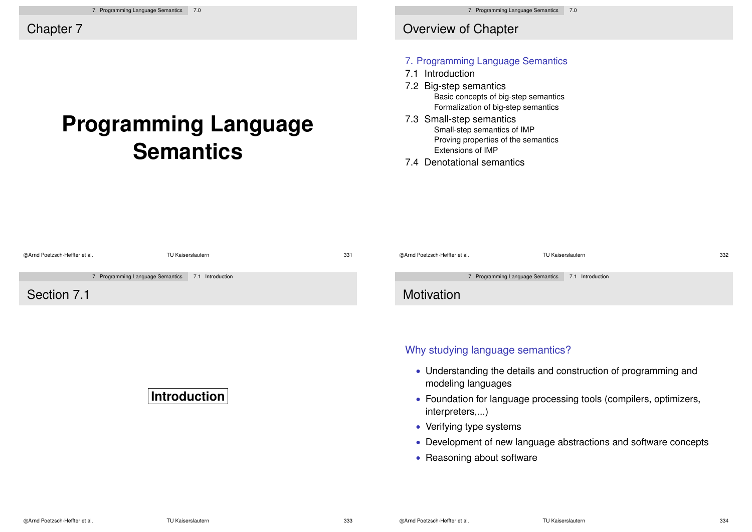# **Programming Language Semantics**

### Overview of Chapter

#### 7. Programming Language Semantics

- 7.1 Introduction
- 7.2 Big-step semantics Basic concepts of big-step semantics Formalization of big-step semantics
- 7.3 Small-step semantics Small-step semantics of IMP Proving properties of the semantics Extensions of IMP
- 7.4 Denotational semantics

| @Arnd Poetzsch-Heffter et al. | TU Kaiserslautern                                     | 331 | @Arnd Poetzsch-Heffter et al.    | TU Kaiserslautern                                                  | 332 |
|-------------------------------|-------------------------------------------------------|-----|----------------------------------|--------------------------------------------------------------------|-----|
|                               | 7. Programming Language Semantics<br>7.1 Introduction |     |                                  | 7. Programming Language Semantics<br>7.1 Introduction              |     |
| Section 7.1                   |                                                       |     | Motivation                       |                                                                    |     |
|                               |                                                       |     | Why studying language semantics? |                                                                    |     |
|                               |                                                       |     | modeling languages               | • Understanding the details and construction of programming and    |     |
|                               | <b>Introduction</b>                                   |     | interpreters,)                   | • Foundation for language processing tools (compilers, optimizers, |     |
|                               |                                                       |     | • Verifying type systems         |                                                                    |     |
|                               |                                                       |     |                                  | • Development of new language abstractions and software concepts   |     |
|                               |                                                       |     | • Reasoning about software       |                                                                    |     |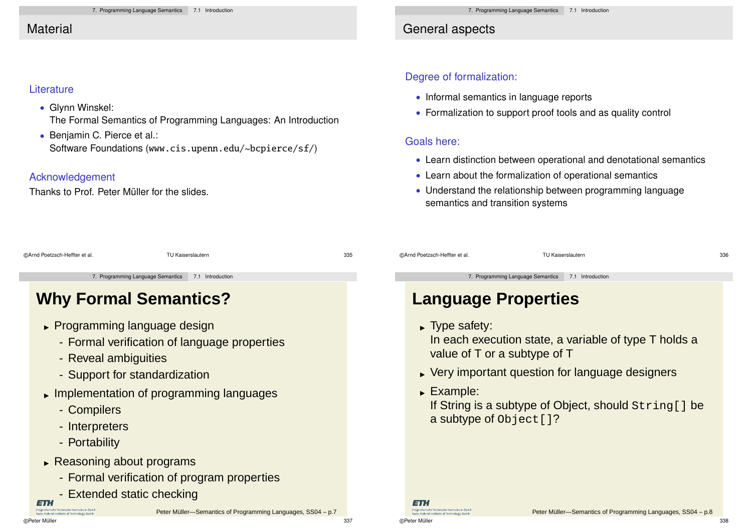## **Material**

### **Literature**

• Glynn Winskel:

The Formal Semantics of Programming Languages: An Introduction

• Benjamin C. Pierce et al.: Software Foundations (www.cis.upenn.edu/~bcpierce/sf/)

### Acknowledgement

Thanks to Prof. Peter Müller for the slides.

## General aspects

### Degree of formalization:

- Informal semantics in language reports
- Formalization to support proof tools and as quality control

### Goals here:

- Learn distinction between operational and denotational semantics
- Learn about the formalization of operational semantics
- Understand the relationship between programming language semantics and transition systems

| ©Arnd Poetzsch-Heffter et al. | TU Kaiserslautern                                  | 335 | @Arnd Poetzsch-Heffter et al.                      | TU Kaiserslautern | 336 |
|-------------------------------|----------------------------------------------------|-----|----------------------------------------------------|-------------------|-----|
|                               | 7. Programming Language Semantics 7.1 Introduction |     | 7. Programming Language Semantics 7.1 Introduction |                   |     |
|                               |                                                    |     |                                                    |                   |     |

# **Why Formal Semantics?**

- Programming language design
	- Formal verification of language properties
	- Reveal ambiguities
	- Support for standardization
- Implementation of programming languages
	- Compilers
	- Interpreters
	- Portability
- Reasoning about programs
	- Formal verification of program properties

Peter Müller-Semantics of Programming Languages, SS04 – p.7

- Extended static checking

**ETH** 

**Sederal Institute of Technology 7p** 

©Peter Müller 337

©Peter Müller 338

ETH.

sische Technische Hochschule Züric

# **Language Properties**

Type safety:

In each execution state, a variable of type T holds a value of T or a subtype of T

- Very important question for language designers
- Example:

If String is a subtype of Object, should String[] be a subtype of Object []?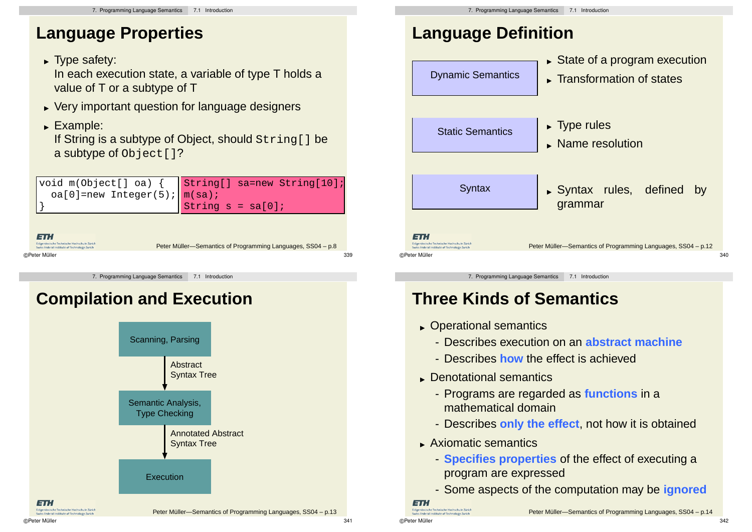## **Language Properties**

► Type safety:

In each execution state, a variable of type T holds a value of T or a subtype of T

- Very important question for language designers
- Example:

If String is a subtype of Object, should String[] be a subtype of Object []?

|                                                                                                                           | void m(Object[] oa) { $\begin{array}{ l l }\n\hline\n\end{array} \text{String}$ sa=new String[10];<br>oa[0]=new Integer(5); $\begin{array}{ l l }\n\hline\nm(sa);\n\end{array}$<br>String $s = sa[0];$ |
|---------------------------------------------------------------------------------------------------------------------------|--------------------------------------------------------------------------------------------------------------------------------------------------------------------------------------------------------|
| 1 = 1 : 1<br>Eidgenössische Technische Hochschule Zürich<br>Swiss Federal Institute of Technology Zurich<br>©Peter Müller | Peter Müller-Semantics of Programming Languages, SS04 - p.8<br>339                                                                                                                                     |

7. Programming Language Semantics 7.1 Introduction

# **Compilation and Execution**



# **Language Definition**



7. Programming Language Semantics 7.1 Introduction

# **Three Kinds of Semantics**

- Operational semantics
	- Describes execution on an **abstract machine**
	- Describes **how** the effect is achieved
- Denotational semantics
	- Programs are regarded as **functions** in a mathematical domain
	- Describes **only the effect**, not how it is obtained
- Axiomatic semantics
	- **Specifies properties** of the effect of executing a program are expressed
	- Some aspects of the computation may be **ignored**

```
ETH.
```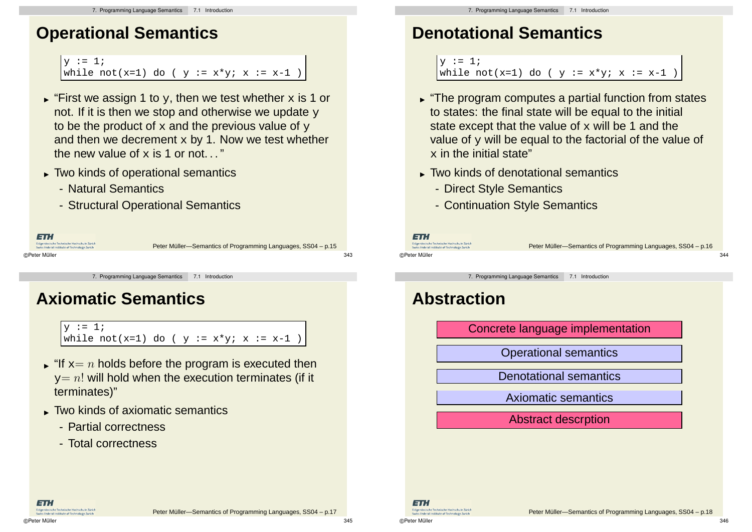## **Operational Semantics**

```
v := 1;while not(x=1) do ( y := x*y; x := x-1 )
```
- $\blacktriangleright$  "First we assign 1 to  $_\text{Y}$ , then we test whether  $\mathrm{x}$  is 1 or not. If it is then we stop and otherwise we update  $\overline{y}$ to be the product of  $x$  and the previous value of  $y$ and then we decrement  $x$  by 1. Now we test whether the new value of  $\times$  is 1 or not.  $"$
- Two kinds of operational semantics
	- Natural Semantics
	- Structural Operational Semantics

| ETH.                                                                                        |                                                              |     |
|---------------------------------------------------------------------------------------------|--------------------------------------------------------------|-----|
| Eidgenössische Technische Hochschule Zürich<br>Swiss Federal Institute of Technology Zurich | Peter Müller-Semantics of Programming Languages, SS04 - p.15 |     |
| ©Peter Müller                                                                               |                                                              | 343 |

7. Programming Language Semantics 7.1 Introduction

## **Axiomatic Semantics**

 $v := 1;$ while not(x=1) do (  $y := x*y$ ;  $x := x-1$  )

- $\blacktriangleright$  "If  $\mathrm{x}{=}\:n$  holds before the program is executed then  $y=n!$  will hold when the execution terminates (if it terminates)"
- Two kinds of axiomatic semantics
	- Partial correctness
	- Total correctness

# **Denotational Semantics**

```
y := 1;while not(x=1) do ( y := x*y; x := x-1
```
- "The program computes a partial function from states to states: the final state will be equal to the initial state except that the value of  $x$  will be 1 and the value of  $\gamma$  will be equal to the factorial of the value of  $x$  in the initial state"
- Two kinds of denotational semantics
	- Direct Style Semantics
	- Continuation Style Semantics



Peter Müller-Semantics of Programming Languages, SS04 – p.16

7. Programming Language Semantics 7.1 Introduction

## **Abstraction**

Concrete language implementation

©Peter Müller 344

Operational semantics

Denotational semantics

Axiomatic semantics

Abstract descrption



ET.I

Federal Institute of Technology Zu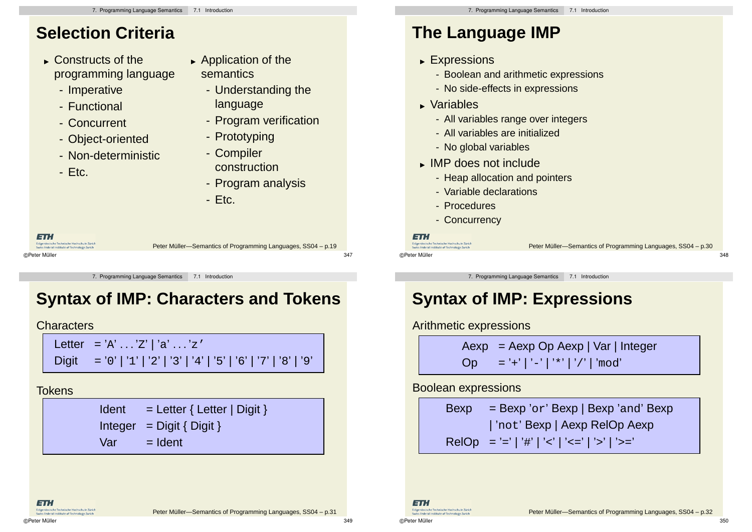- Constructs of the programming language
	- Imperative
	- Functional
	- Concurrent
	- Object-oriented
	- Non-deterministic
	- Etc.
- **Application of the** semantics
	- Understanding the language
	- Program verification
	- Prototyping
	- Compiler construction
	- Program analysis
	- Etc.

| ETH.                                                                                        |                                                              |     |
|---------------------------------------------------------------------------------------------|--------------------------------------------------------------|-----|
| Eidgenössische Technische Hochschule Zürich<br>Swiss Federal Institute of Technology Zurich | Peter Müller—Semantics of Programming Languages, SS04 – p.19 |     |
| ©Peter Müller                                                                               |                                                              | 347 |

7. Programming Language Semantics 7.1 Introduction

# **Syntax of IMP: Characters and Tokens**

### **Characters**

Letter = 'A' . . . 'Z' | 'a' . . . 'z' Digit = '0' | '1' | '2' | '3' | '4' | '5' | '6' | '7' | '8' | '9'

### **Tokens**

 $Ident = Letter { Letter | Digit }$ Integer =  $Digit { Digit }$  $Var = Ident$ 

# **The Language IMP**

- Expressions
	- Boolean and arithmetic expressions
	- No side-effects in expressions
- Variables
	- All variables range over integers
	- All variables are initialized
	- No global variables
- IMP does not include
	- Heap allocation and pointers
	- Variable declarations
	- Procedures
	- Concurrency

#### ETH.

Fidaenössische Technische Hochschule Zürich ©Peter Müller 348

Peter Müller-Semantics of Programming Languages, SS04 – p.30

7. Programming Language Semantics 7.1 Introduction

# **Syntax of IMP: Expressions**

Arithmetic expressions

 $Aexp = Aexp Op Aexp | Var|$  Integer Op ='+'|'-'|'\*'|'/'|'mod'

Boolean expressions

 $Bexp = Bexp' or' Bexp | Bexp' and' Bexp$ | 'not' Bexp | Aexp RelOp Aexp RelOp = '=' | '#' | '<' | '<=' | '>' | '>='

©Peter Müller 350

ET. Fidaenässische Technische Hochschule Zürich Swiss Federal Institute of Technology Zuria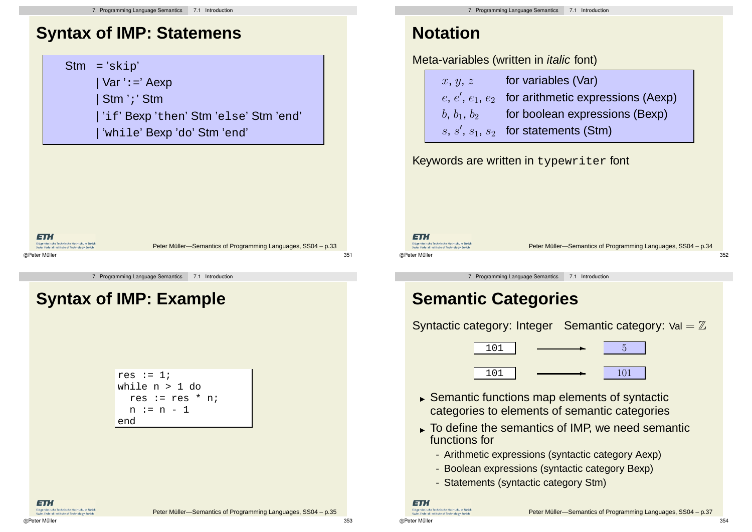## **Syntax of IMP: Statemens**

**ETH** Fidaenössische Technische Hochschule Zürich Peter Müller-Semantics of Programming Languages, SS04 – p.33 Swiss Federal Institute of Technology 7 ©Peter Müller 351

7. Programming Language Semantics 7.1 Introduction

## **Syntax of IMP: Example**



## **Notation**

### Meta-variables (written in *italic* font)

| x, y, z       | for variables (Var)                                 |
|---------------|-----------------------------------------------------|
|               | $e, e', e_1, e_2$ for arithmetic expressions (Aexp) |
| $b, b_1, b_2$ | for boolean expressions (Bexp)                      |
|               | $s, s', s_1, s_2$ for statements (Stm)              |

Keywords are written in typewriter font

**ETH** 

ETH.

Eidgenössische Technische Hochschule Zürich<br>Swiss Federal Institute of Technology Zurich

 $\frac{1}{2}$  =  $\frac{1}{2}$  =  $\frac{1}{2}$ <br>Eidgenössische Technische Hochschule Zürich<br>Swiss Federal Institute of Technology Zurich ©Peter Müller 352

Peter Müller-Semantics of Programming Languages, SS04 – p.34

7. Programming Language Semantics 7.1 Introduction

## **Semantic Categories**

Syntactic category: Integer Semantic category:  $Val = \mathbb{Z}$ 



- Semantic functions map elements of syntactic categories to elements of semantic categories
- To define the semantics of IMP, we need semantic functions for
	- Arithmetic expressions (syntactic category Aexp)
	- Boolean expressions (syntactic category Bexp)
	- Statements (syntactic category Stm)

**ETH** nössische Technische Hochschule Zürich renossische iechnische Hochschuie zur<br>ss Federal Institute of Technology Zuric

Peter Müller-Semantics of Programming Languages, SS04 – p.37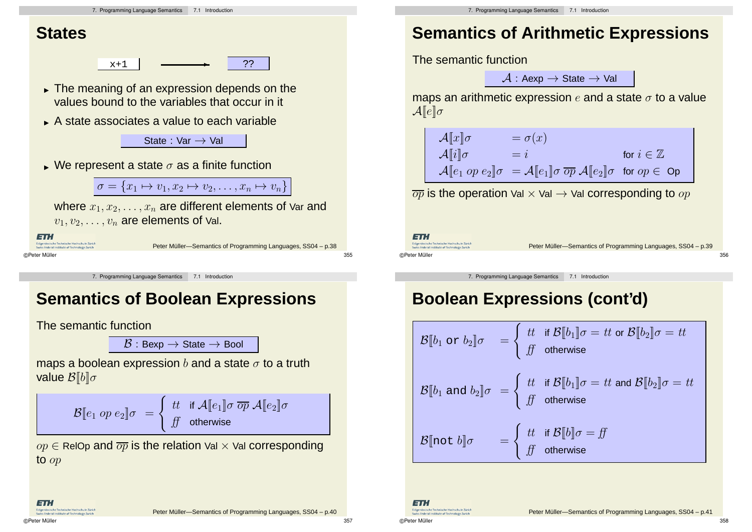

## **Semantics of Boolean Expressions**

The semantic function

 $\mathcal{B}:$  Bexp  $\rightarrow$  State  $\rightarrow$  Bool

maps a boolean expression b and a state  $\sigma$  to a truth value  $\mathcal{B}[[b]]\sigma$ 

$$
\mathcal{B}[\![ e_1 \text{ op } e_2 ]\!] \sigma \ = \left\{ \begin{array}{ll} tt & \text{if } \mathcal{A}[\![ e_1 ]\!] \sigma \ \overline{op} \ \mathcal{A}[\![ e_2 ]\!] \sigma \\ ff & \text{otherwise} \end{array} \right.
$$

 $op \in$  RelOp and  $\overline{op}$  is the relation Val  $\times$  Val corresponding to op

ET.I

Peter Müller-Semantics of Programming Languages, SS04 – p.40

## **Semantics of Arithmetic Expressions**

 $\mathcal{A}:$  Aexp  $\rightarrow$  State  $\rightarrow$  Val

maps an arithmetic expression  $e$  and a state  $\sigma$  to a value

$$
\begin{array}{|c|}\n\hline\n\mathcal{A}[\![x]\!] \sigma & = \sigma(x) \\
\mathcal{A}[\![i]\!] \sigma & = i & \text{for } i \in \mathbb{Z} \\
\mathcal{A}[\![e_1 \text{ op } e_2]\!] \sigma & = \mathcal{A}[\![e_1]\!] \sigma \overline{\text{ op }} \mathcal{A}[\![e_2]\!] \sigma & \text{for } \text{op} \in \text{Op}\n\end{array}
$$

 $\overline{op}$  is the operation Val  $\times$  Val  $\rightarrow$  Val corresponding to  $op$ 

Peter Müller-Semantics of Programming Languages, SS04 – p.39

7. Programming Language Semantics 7.1 Introduction

# **Boolean Expressions (cont'd)**

B[[b<sup>1</sup> or b2]]σ = ( tt if B[[b1]]σ = tt or B[[b2]]σ = tt ff otherwise B[[b<sup>1</sup> and b2]]σ = ( tt if B[[b1]]σ = tt and B[[b2]]σ = tt ff otherwise B[[not b]]σ = ( tt if B[[b]]σ = ff ff otherwise

ET. Fidaenässische Technische Hochschule Zürich Swiss Federal Institute of Technology Zuric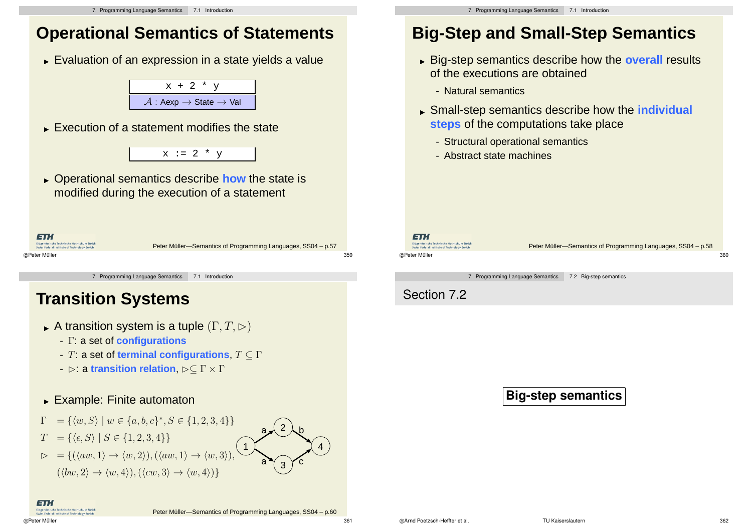## **Operational Semantics of Statements**

Evaluation of an expression in a state yields a value



Execution of a statement modifies the state



 Operational semantics describe **how** the state is modified during the execution of a statement

| ETH.                                                                                        |                                                              |     |
|---------------------------------------------------------------------------------------------|--------------------------------------------------------------|-----|
| Eidgenössische Technische Hochschule Zürich<br>Swiss Federal Institute of Technology Zurich | Peter Müller-Semantics of Programming Languages, SS04 - p.57 |     |
| ©Peter Müller                                                                               |                                                              | 359 |

7. Programming Language Semantics 7.1 Introduction

## **Transition Systems**

- $\blacktriangleright$  A transition system is a tuple  $(\Gamma, T, \rhd)$ 
	- Γ: a set of **configurations**
	- T: a set of **terminal configurations**, T ⊆ Γ
	- **-**  $\rhd$ : a **transition relation**,  $\rhd$ ⊂ Γ × Γ

### Example: Finite automaton



## **Big-Step and Small-Step Semantics**

- Big-step semantics describe how the **overall** results of the executions are obtained
	- Natural semantics
- Small-step semantics describe how the **individual steps** of the computations take place
	- Structural operational semantics
	- Abstract state machines

ET. Fideenässische Technische Hochschule Zürich

ss Federal Institute of Technol ©Peter Müller 360

Peter Müller-Semantics of Programming Languages, SS04 – p.58

7. Programming Language Semantics 7.2 Big-step semantics

Section 7.2

### **Big-step semantics**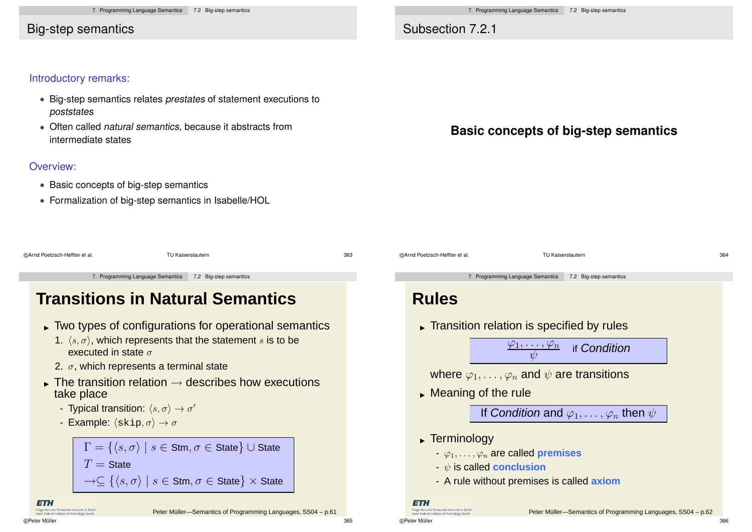### Big-step semantics

### Subsection 7.2.1

#### Introductory remarks:

- Big-step semantics relates prestates of statement executions to poststates
- Often called natural semantics, because it abstracts from intermediate states

#### Overview:

- Basic concepts of big-step semantics
- Formalization of big-step semantics in Isabelle/HOL

### **Basic concepts of big-step semantics**

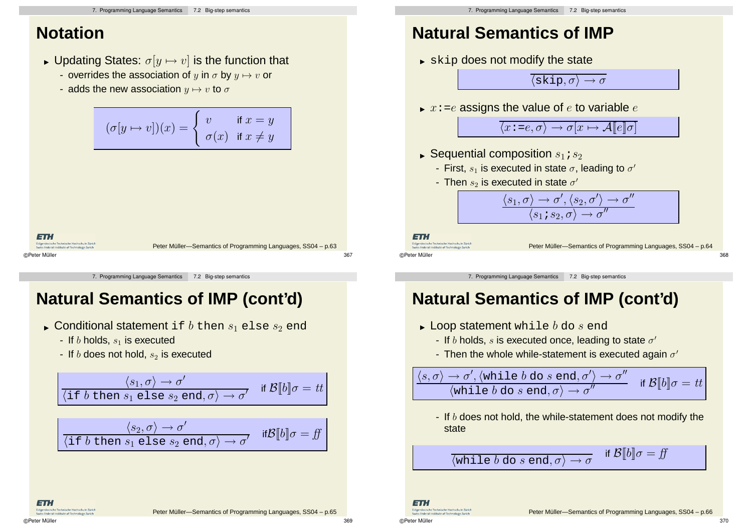## **Notation**

- $\blacktriangleright$  Updating States:  $\sigma[y \mapsto v]$  is the function that
	- overrides the association of y in  $\sigma$  by  $y \mapsto v$  or
	- adds the new association  $y \mapsto v$  to  $\sigma$

$$
(\sigma[y \mapsto v])(x) = \begin{cases} v & \text{if } x = y \\ \sigma(x) & \text{if } x \neq y \end{cases}
$$
  
  
**FTM**  
**FTM**  
**SETN**  
Substituting the Euclidean field, Eürlde  
Supersible. To find the BGL

7. Programming Language Semantics 7.2 Big-step semantics

## **Natural Semantics of IMP (cont'd)**

- $\blacktriangleright$  Conditional statement <code>if</code>  $b$  then  $s_1$  <code>else</code>  $s_2$  <code>end</code>
	- If  $b$  holds,  $s_1$  is executed
	- If  $b$  does not hold,  $s_2$  is executed

$$
\frac{\langle s_1, \sigma \rangle \to \sigma'}{\langle \text{if } b \text{ then } s_1 \text{ else } s_2 \text{ end}, \sigma \rangle \to \sigma'} \quad \text{if } \mathcal{B}[b] \sigma = tt
$$

$$
\frac{\langle s_2, \sigma \rangle \to \sigma'}{\langle \text{if } b \text{ then } s_1 \text{ else } s_2 \text{ end}, \sigma \rangle \to \sigma'} \quad \text{if } \mathcal{B}[\![b]\!]\sigma = \text{if}
$$

## **Natural Semantics of IMP**

 $\blacktriangleright$   $\operatorname{skip}$  does not modify the state

 $\langle$ skip,  $\sigma \rangle \rightarrow \sigma$ 

 $\blacktriangleright$   $x$ :=e assigns the value of  $e$  to variable  $e$ 

 $\langle x : =e, \sigma \rangle \rightarrow \sigma[x \mapsto \mathcal{A}[[e]]\sigma]$ 

- $\blacktriangleright$  Sequential composition  $s_1$  ;  $s_2$ 
	- First,  $s_1$  is executed in state  $\sigma$ , leading to  $\sigma'$
	- Then  $s_2$  is executed in state  $\sigma'$

$$
\frac{\langle s_1, \sigma\rangle \to \sigma', \langle s_2, \sigma'\rangle \to \sigma''}{\langle s_1\, s_2, \sigma\rangle \to \sigma''}
$$

ET.

Fideenässische Technische Hochschule Zürich ss Federal Institute of Technolog ©Peter Müller 368

Peter Müller-Semantics of Programming Languages, SS04 – p.64

7. Programming Language Semantics 7.2 Big-step semantics

## **Natural Semantics of IMP (cont'd)**

- $\blacktriangleright$  Loop statement while  $b$  do  $s$  end
	- If b holds, s is executed once, leading to state  $\sigma'$
	- Then the whole while-statement is executed again  $\sigma'$

 $\langle s,\sigma\rangle\to\sigma',\langle \text{while }b\text{ do }s\text{ end},\sigma'\rangle\to\sigma''$  $\langle$ while  $b$  do  $s$  end,  $\sigma \rangle \rightarrow \sigma$ if  $\mathcal{B}[[b]]\sigma = tt$ 

- If  $b$  does not hold, the while-statement does not modify the state

$$
\langle \text{while } b \text{ do } s \text{ end}, \sigma \rangle \to \sigma
$$
 if  $\mathcal{B}[b] \sigma = ff$ 

ET. Fidaenössische Technische Hochschule Züric

Swiss Federal Institute of Technology Zuria

ET.I

**Coderal Institute of Ter**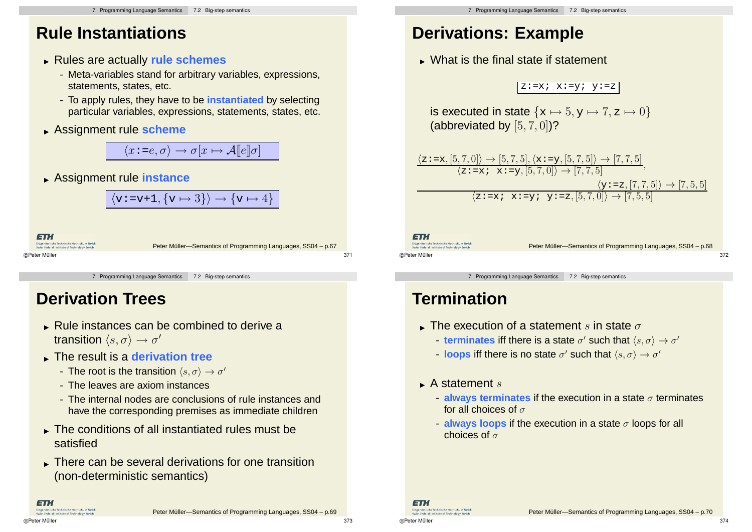## **Rule Instantiations**

- Rules are actually **rule schemes**
	- Meta-variables stand for arbitrary variables, expressions, statements, states, etc.
	- To apply rules, they have to be **instantiated** by selecting particular variables, expressions, statements, states, etc.
- Assignment rule **scheme**

 $\langle x : =e, \sigma \rangle \rightarrow \sigma[x \mapsto \mathcal{A}[[e]]\sigma]$ 

Assignment rule **instance**

$$
\langle v\!:=\!v\!+\!1,\{v\mapsto 3\}\rangle\to\{v\mapsto 4\}\bigm|
$$

ETH .<br>Sissische Technische Hochschule Züric Peter Müller-Semantics of Programming Languages, SS04 – p.67 ©Peter Müller 371

7. Programming Language Semantics 7.2 Big-step semantics

## **Derivation Trees**

- Rule instances can be combined to derive a transition  $\langle s, \sigma \rangle \rightarrow \sigma'$
- The result is a **derivation tree**
	- The root is the transition  $\langle s, \sigma \rangle \rightarrow \sigma'$
	- The leaves are axiom instances
	- The internal nodes are conclusions of rule instances and have the corresponding premises as immediate children
- The conditions of all instantiated rules must be satisfied
- There can be several derivations for one transition (non-deterministic semantics)

## **Derivations: Example**

 $\blacktriangleright$  What is the final state if statement

 $z:=x; x:=y; y:=z$ 

is executed in state  $\{x \mapsto 5, y \mapsto 7, z \mapsto 0\}$ (abbreviated by [5, 7, 0])?

$$
\frac{\langle z:=x,[5,7,0]\rangle \to [5,7,5], \langle x:=y,[5,7,5]\rangle \to [7,7,5]}{\langle z:=x \; ; \; x:=y,[5,7,0]\rangle \to [7,7,5]} ,
$$
  

$$
\frac{\langle y:=z,[7,7,5]\rangle \to [7,5,5]}{\langle z:=x \; ; \; x:=y \; ; \; y:=z,[5,7,0]\rangle \to [7,5,5]}
$$

ET. Fidaenössische Technische Hochschule Zürich

```
ss Federal Institute of Technolo
©Peter Müller 372
```
Peter Müller-Semantics of Programming Languages, SS04 – p.68

7. Programming Language Semantics 7.2 Big-step semantics

## **Termination**

- $\blacktriangleright$  The execution of a statement  $s$  in state  $\sigma$ 
	- **terminates** iff there is a state  $\sigma'$  such that  $\langle s, \sigma \rangle \rightarrow \sigma'$
	- **loops** iff there is no state  $\sigma'$  such that  $\langle s, \sigma \rangle \rightarrow \sigma'$
- $\blacktriangleright$  A statement  $s$ 
	- **always terminates** if the execution in a state  $\sigma$  terminates for all choices of  $\sigma$
	- **always loops** if the execution in a state  $\sigma$  loops for all choices of  $\sigma$

**ETH** Eidgenössische Technische Hochschule Zürich<br>Swiss Federal Institute of Technology Zurich

ET.I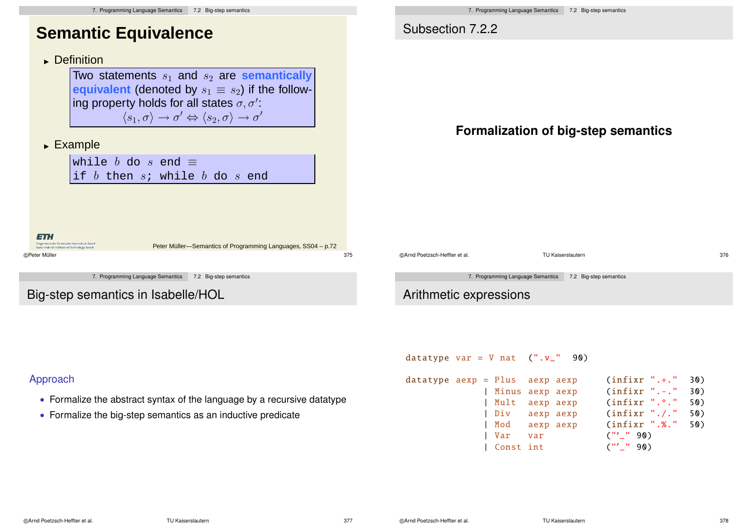

**Formalization of big-step semantics**

7. Programming Language Semantics 7.2 Big-step semantics

datatype var =  $V$  nat (".v\_" 90)

| datatype aexp = Plus  aexp aexp |  |                 |     | $(infixr$ ".+." | 30) |
|---------------------------------|--|-----------------|-----|-----------------|-----|
|                                 |  | Minus aexp aexp |     | $(infixr$ ".-." | 30) |
|                                 |  | Mult aexp aexp  |     | $(infixr$ ".*." | 50) |
|                                 |  | Div aexp aexp   |     | (infixr "./.")  | 50) |
|                                 |  | Mod aexpaexp    |     | (infixr ".%."   | 50) |
|                                 |  | Var             | var | $($ "' " 90)    |     |
|                                 |  | Const int       |     | $($ "' " 90)    |     |

#### Approach

- Formalize the abstract syntax of the language by a recursive datatype
- Formalize the big-step semantics as an inductive predicate

7. Programming Language Semantics 7.2 Big-step semantics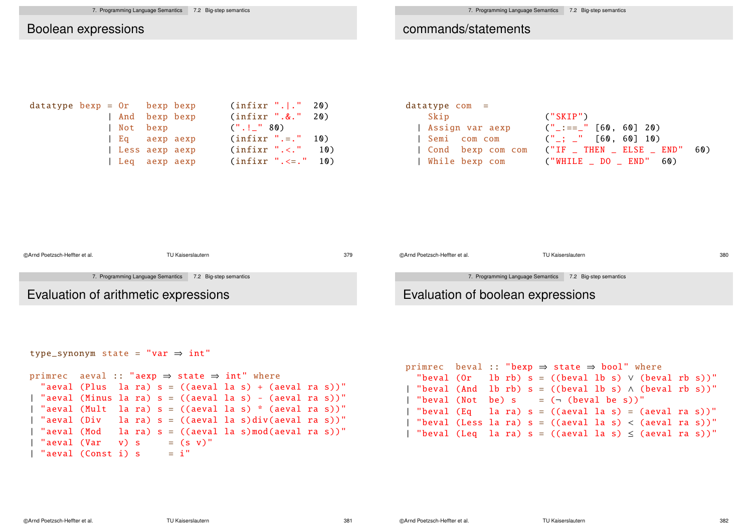#### Boolean expressions

#### commands/statements

| datatype bexp = $0r$ bexp bexp |  |                |  | (infixr ". ." 20)       |  |
|--------------------------------|--|----------------|--|-------------------------|--|
|                                |  | And bexp bexp  |  | $(infixr$ ".&." 20)     |  |
|                                |  | Not bexp       |  | ("!] " 80)              |  |
|                                |  | Eq aexpaexp    |  | $(infixr$ ".=." 10)     |  |
|                                |  | Less aexp aexp |  | $(intfixr$ ".<." 10)    |  |
|                                |  | Leq aexp aexp  |  | $(infixr$ ". <= . " 10) |  |

| datatype com =  |                                                 |
|-----------------|-------------------------------------------------|
| Skip            | (''SKIP'')                                      |
| Assign var aexp | $\binom{n}{-}$ :== $\binom{n}{n}$ [60, 60] 20)  |
| Semi com com    | $\binom{11}{1}$ ; $\binom{11}{1}$ [60, 60] 10)  |
|                 | Cond bexp com com ("IF _ THEN _ ELSE _ END" 60) |
|                 | While bexp com ("WHILE _ DO _ END" 60)          |

| ©Arnd Poetzsch-Heffter et al.        | TU Kaiserslautern                                        | 379 | ©Arnd Poetzsch-Heffter et al.     | TU Kaiserslautern                                        | 380 |
|--------------------------------------|----------------------------------------------------------|-----|-----------------------------------|----------------------------------------------------------|-----|
|                                      | 7. Programming Language Semantics 7.2 Big-step semantics |     |                                   | 7. Programming Language Semantics 7.2 Big-step semantics |     |
| Evaluation of arithmetic expressions |                                                          |     | Evaluation of boolean expressions |                                                          |     |

```
type_synonym state =
"var ⇒ int"
primrec aeval :: "aexp \Rightarrow state \Rightarrow int" where
 "aeval (Plus la ra) s = ((aeval la s) + (aeval ra s))"
| "aeval (Minus la ra) s = ((aeval la s) - (aeval ra s))"
 "aeval (Mult la ra) s = ((aeval la s) * (aeval ra s))"
 "aeval (Div la ra) s = ((aeval la s)div(aeval ra s))"
 | "aeval (Mod la ra) s = ((aeval la s)mod(aeval ra s))"
 "aeval (Var v) s = (s v)"
| "aeval (Const i) s = i"
```

```
primrec beval :: "bexp \Rightarrow state \Rightarrow bool" where
  "beval (Or lb rb) s = ((beval lb s) \vee (beval rb s))"
| "beval (And lb rb) s = ((beval lb s) \wedge (beval rb s))"
  "beval (Not be) s = (\neg (beval be s))"
  "beval (Eq la ra) s = ((aeval la s) = (aeval ra s))"
  "beval (Less la ra) s = ((aeval la s) < (aeval ra s))"
| "beval (Leq la ra) s = ((aeval la s) \le (aeval ra s))"
```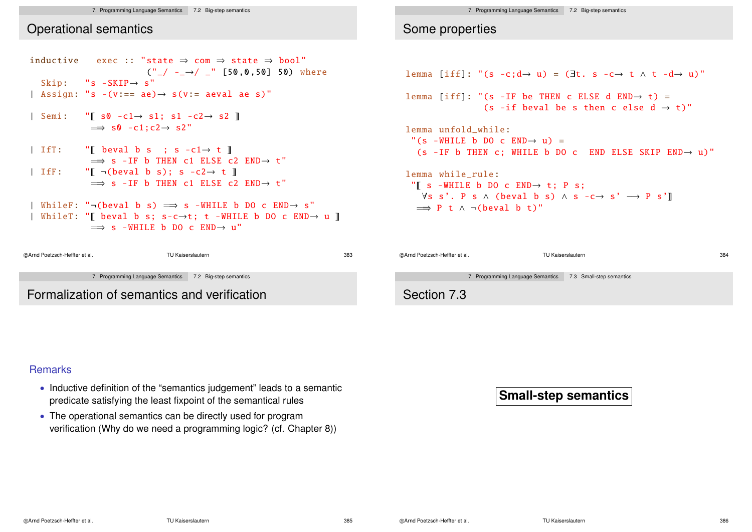#### 7. Programming Language Semantics 7.2 Big-step semantics

### Operational semantics

```
inductive exec :: "state ⇒ com ⇒ state ⇒ bool"
                          (''_{-}/ -_{-} \rightarrow /_{-}" [50,0,50] 50) where
  Skip: "s - SKIP \rightarrow s"| Assign: "s -(v:= ae) \rightarrow s(v:= ae) a\vert Semi: "\vert s0 -c1→ s1; s1 -c2→ s2 \vert\implies s0 -c1:c2\rightarrow s2"
```

```
| IfT: \mathbb{I} beval b s ; s -c1\rightarrow t \mathbb{I}\implies s -IF b THEN c1 ELSE c2 END\rightarrow t"
| IfF: \mathbb{F} \lceil \cdot \cdot \cdot \cdot \rceil \lceil \cdot \cdot \cdot \rceil \lceil \cdot \cdot \rceil \lceil \cdot \cdot \rceil \lceil \cdot \cdot \rceil \lceil \cdot \cdot \rceil \lceil \cdot \cdot \rceil \lceil \cdot \cdot \rceil \lceil \cdot \cdot \rceil \lceil \cdot \rceil \lceil \cdot \rceil \lceil \cdot \rceil \lceil \cdot \rceil \lceil \cdot \rceil \lceil \cdot \rceil \lceil \cdot \rceil \lceil \\Rightarrow s -IF b THEN c1 ELSE c2 END\rightarrow t"
```

```
| WhileF: "\neg(beval b s) \implies s -WHILE b DO c END\rightarrow s"
| WhileT: "\parallel beval b s; s-c\rightarrowt; t -WHILE b DO c END\rightarrow u \parallel\Rightarrow s -WHILE b DO c END\rightarrow u"
```

```
©Arnd Poetzsch-Heffter et al. TU Kaiserslautern 383
              7. Programming Language Semantics 7.2 Big-step semantics
Formalization of semantics and verification
```
7. Programming Language Semantics 7.2 Big-step semantics

### Some properties

```
lemma \text{Diff}: "(s - c:d \rightarrow u) = (\exists t \cdot s - c \rightarrow t \wedge t - d \rightarrow u)"
```
lemma [iff]: "(s -IF be THEN c ELSE d END $\rightarrow$  t) = (s -if beval be s then c else  $d \rightarrow t$ )"

```
lemma unfold_while:
 \degree (s -WHILE b DO c END\rightarrow u) =
  (s - IF b) THEN c: WHILE b DO c END ELSE SKIP END\rightarrow u)"
```

```
lemma while_rule:
 "\parallel s -WHILE b DO c END\rightarrow t; P s;
    \forall s \ s'. P s \land (beval b s) \land s - c \rightarrow s' \rightarrow P s' \rbrack\Rightarrow P t \land ¬(beval b t)"
```

| ©Arnd Poetzsch-Heffter et al. |                                   | TU Kaiserslautern        | 384 |
|-------------------------------|-----------------------------------|--------------------------|-----|
|                               | 7. Programming Language Semantics | 7.3 Small-step semantics |     |
| Section 7.3                   |                                   |                          |     |

#### **Remarks**

- Inductive definition of the "semantics judgement" leads to a semantic predicate satisfying the least fixpoint of the semantical rules
- The operational semantics can be directly used for program verification (Why do we need a programming logic? (cf. Chapter 8))

**Small-step semantics**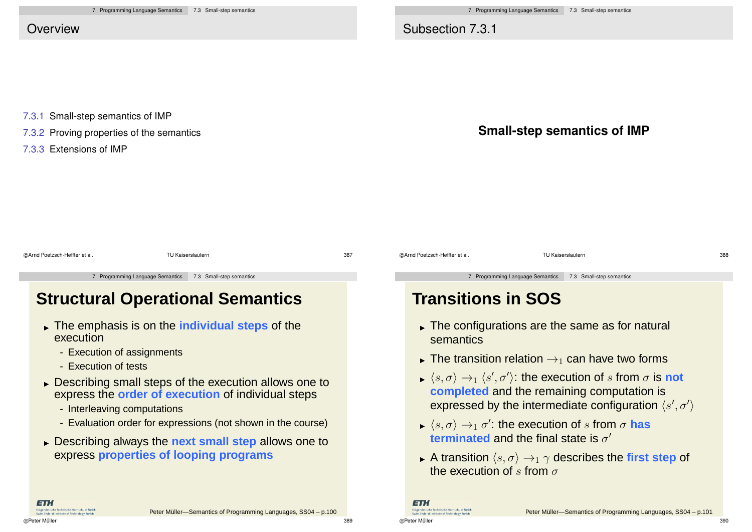Subsection 7.3.1

7.3.1 Small-step semantics of IMP

7.3.2 Proving properties of the semantics

7.3.3 Extensions of IMP



| @Arnd Poetzsch-Heffter et al. | TU Kaiserslautern                                          |                                         | 387 | @Arnd Poetzsch-Heffter et al. | TU Kaiserslautern                                          | 388 |
|-------------------------------|------------------------------------------------------------|-----------------------------------------|-----|-------------------------------|------------------------------------------------------------|-----|
|                               | 7. Programming Language Semantics 7.3 Small-step semantics |                                         |     |                               | 7. Programming Language Semantics 7.3 Small-step semantics |     |
|                               |                                                            | <b>Structural Operational Semantics</b> |     | <b>Transitions in SOS</b>     |                                                            |     |

- The emphasis is on the **individual steps** of the execution
	- Execution of assignments
	- Execution of tests
- **Describing small steps of the execution allows one to** express the **order of execution** of individual steps
	- Interleaving computations
	- Evaluation order for expressions (not shown in the course)
- Describing always the **next small step** allows one to express **properties of looping programs**

## **Transitions in SOS**

- The configurations are the same as for natural semantics
- ► The transition relation  $\rightarrow_1$  can have two forms
- $\langle s, \sigma \rangle \rightarrow_1 \langle s', \sigma' \rangle$ : the execution of  $s$  from  $\sigma$  is **not completed** and the remaining computation is expressed by the intermediate configuration  $\langle s', \sigma' \rangle$
- $\langle s, \sigma \rangle \rightarrow_1 \sigma'$ : the execution of s from  $\sigma$  has **terminated** and the final state is  $\sigma'$
- A transition  $\langle s, \sigma \rangle \rightarrow_1 \gamma$  describes the **first step** of the execution of s from  $\sigma$

ETH. Federal Institute of Tech

©Peter Müller 389

ET.

iwics Federal Institute of Technolog

Fidaenässische Technische Hochschule Zürich Peter Müller-Semantics of Programming Languages, SS04 – p.101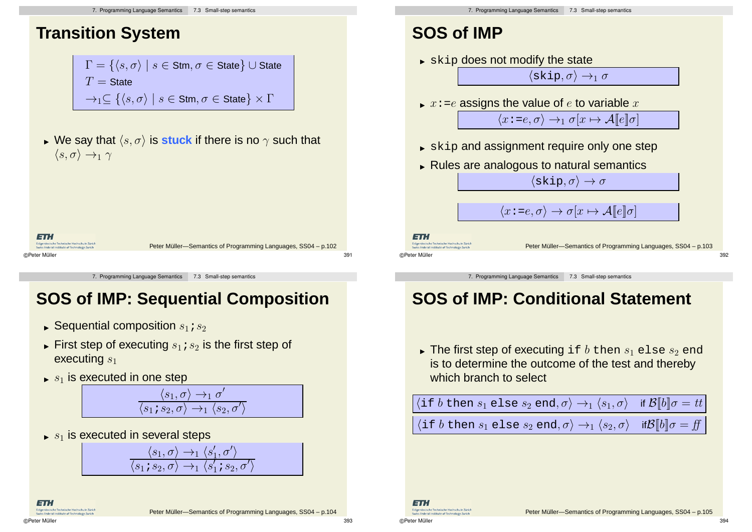## **Transition System**

$$
\Gamma = \{ \langle s, \sigma \rangle \mid s \in \text{Stm}, \sigma \in \text{State} \} \cup \text{State}
$$
\n
$$
T = \text{State}
$$
\n
$$
\rightarrow_1 \subseteq \{ \langle s, \sigma \rangle \mid s \in \text{Stm}, \sigma \in \text{State} \} \times \Gamma
$$

We say that  $\langle s, \sigma \rangle$  is **stuck** if there is no  $\gamma$  such that  $\langle s, \sigma \rangle \rightarrow_1 \gamma$ 

| 13 T.I                                                                                      |                                                               |     |
|---------------------------------------------------------------------------------------------|---------------------------------------------------------------|-----|
| Eidgenössische Technische Hochschule Zürich<br>Swiss Federal Institute of Technology Zurich | Peter Müller-Semantics of Programming Languages, SS04 - p.102 |     |
| ©Peter Müller                                                                               |                                                               | 391 |

7. Programming Language Semantics 7.3 Small-step semantics

# **SOS of IMP: Sequential Composition**

- $\blacktriangleright$  Sequential composition  $s_1$  ;  $s_2$
- $\blacktriangleright$  First step of executing  $s_1$  ;  $s_2$  is the first step of executing  $s_1$
- $s_1$  is executed in one step



 $\langle s_1, \sigma \rangle \rightarrow_1 \langle s'_1, \sigma' \rangle$  $\langle s_1\, s_2, \sigma\rangle \rightarrow_1 \langle s'_1\, s_2, \sigma'\rangle$ 

 $\blacktriangleright$   $s_1$  is executed in several steps

- $\blacktriangleright$   $\operatorname{skip}$  and assignment require only one step
- Rules are analogous to natural semantics

 $\langle$ skip,  $\sigma \rangle \rightarrow \sigma$ 

 $\langle x : =e, \sigma \rangle \rightarrow_1 \sigma[x \mapsto \mathcal{A}[[e]]\sigma]$ 

 $\langle x : =e, \sigma \rangle \rightarrow \sigma[x \mapsto \mathcal{A}[[e]]\sigma]$ 

ET.

Fideenässische Technische Hochschule Zürich ss Federal Institute of Techno ©Peter Müller 392

Peter Müller-Semantics of Programming Languages, SS04 – p.103

7. Programming Language Semantics 7.3 Small-step semantics

## **SOS of IMP: Conditional Statement**

 $\blacktriangleright$  The first step of executing <code>if</code>  $b$  <code>then</code>  $s_1$  <code>else</code>  $s_2$  <code>end</code> is to determine the outcome of the test and thereby which branch to select

| $\langle \text{if } b \text{ then } s_1 \text{ else } s_2 \text{ end}, \sigma \rangle \rightarrow_1 \langle s_1, \sigma \rangle \text{ if } \mathcal{B}[b] \sigma = tt \rangle$ |  |
|---------------------------------------------------------------------------------------------------------------------------------------------------------------------------------|--|
| $\langle \text{if } b \text{ then } s_1 \text{ else } s_2 \text{ end}, \sigma \rangle \rightarrow_1 \langle s_2, \sigma \rangle \text{ if } \mathcal{B}[b] \sigma = \text{ff}$  |  |

**ETH** Fidaenössische Technische Hochschule Züric

ET.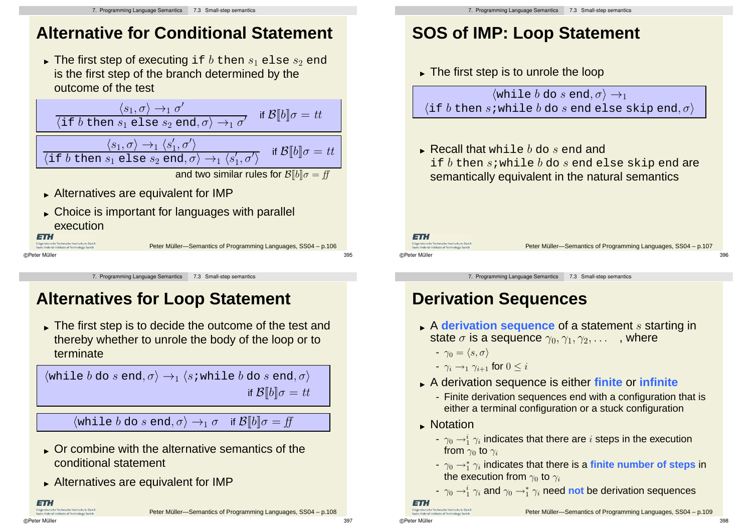## **Alternative for Conditional Statement**

 $\blacktriangleright$  The first step of executing <code>if</code>  $b$  <code>then</code>  $s_1$  <code>else</code>  $s_2$  <code>end</code> is the first step of the branch determined by the outcome of the test

$$
\frac{\langle s_1, \sigma \rangle \to_1 \sigma'}{\langle \text{if } b \text{ then } s_1 \text{ else } s_2 \text{ end}, \sigma \rangle \to_1 \sigma'} \quad \text{if } \mathcal{B}[b] \sigma = tt
$$
\n
$$
\frac{\langle s_1, \sigma \rangle \to_1 \langle s_1', \sigma' \rangle}{\langle \text{if } b \text{ then } s_1 \text{ else } s_2 \text{ end}, \sigma \rangle \to_1 \langle s_1', \sigma' \rangle} \quad \text{if } \mathcal{B}[b] \sigma = tt
$$
\nand two similar rules for  $\mathcal{B}[b] \sigma = ff$ 

- Alternatives are equivalent for IMP
- Choice is important for languages with parallel execution **ETH**

.<br>össische Technische Hochschule Zürich

Peter Müller-Semantics of Programming Languages, SS04 – p.106 ©Peter Müller 395

7. Programming Language Semantics 7.3 Small-step semantics

# **Alternatives for Loop Statement**

The first step is to decide the outcome of the test and thereby whether to unrole the body of the loop or to terminate

 $\langle$ while  $b$  do  $s$  end,  $\sigma \rangle \rightarrow_1 \langle s$ ;while  $b$  do  $s$  end,  $\sigma \rangle$ if  $\mathcal{B}[[b]]\sigma = tt$ 

 $\langle \text{while } b \text{ do } s \text{ end}, \sigma \rangle \rightarrow_1 \sigma \quad \text{if } \mathcal{B}[[b]] \sigma = ff$ 

- Or combine with the alternative semantics of the conditional statement
- Alternatives are equivalent for IMP

**ETH** eral Institute of Technology 7

# **SOS of IMP: Loop Statement**

The first step is to unrole the loop

 $\langle$ while *b* do *s* end,  $\sigma$  $\rangle \rightarrow_1$  $\langle$ if b then s;while b do s end else skip end,  $\sigma$  $\rangle$ 

 $\blacktriangleright$  Recall that  $\texttt{while}~b$  do  $s$  end and if  $b$  then s; while  $b$  do s end else skip end are semantically equivalent in the natural semantics

**ETH** Fidaenössische Technische Hochschule Zürich

©Peter Müller 396

Peter Müller-Semantics of Programming Languages, SS04 – p.107

7. Programming Language Semantics 7.3 Small-step semantics

# **Derivation Sequences**

- A **derivation sequence** of a statement s starting in state  $\sigma$  is a sequence  $\gamma_0, \gamma_1, \gamma_2, \ldots$ , where
	- $-\gamma_0 = \langle s, \sigma \rangle$
	- $\gamma_i \rightarrow_1 \gamma_{i+1}$  for  $0 \leq i$
- A derivation sequence is either **finite** or **infinite**
	- Finite derivation sequences end with a configuration that is either a terminal configuration or a stuck configuration
- **Notation** 
	- $\gamma_0 \rightarrow_1^i \gamma_i$  indicates that there are  $i$  steps in the execution from  $\gamma_0$  to  $\gamma_i$
	- γ<sup>0</sup> →<sup>∗</sup> <sup>1</sup> γ<sup>i</sup> indicates that there is a **finite number of steps** in the execution from  $\gamma_0$  to  $\gamma_i$
	- $\gamma_0 \rightarrow^\mathbb{i}_1 \gamma_i$  and  $\gamma_0 \rightarrow^\mathbb{i}_1 \gamma_i$  need not be derivation sequences

```
ET.
Fidaenässische Technische Hochschule Zürich
```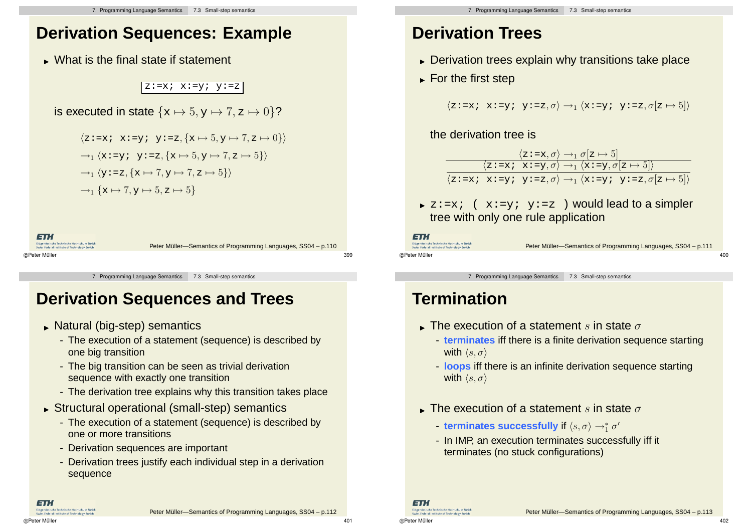## **Derivation Sequences: Example**

What is the final state if statement

#### $z:=x; x:=y; y:=z$

$$
\text{is executed in state } \{ \mathbf{x} \mapsto 5, \mathbf{y} \mapsto 7, \mathbf{z} \mapsto 0 \} \text{?}
$$

$$
\langle z := x; x := y; y := z, \{x \mapsto 5, y \mapsto 7, z \mapsto 0\}\rangle
$$
  
\n
$$
\rightarrow_1 \langle x := y; y := z, \{x \mapsto 5, y \mapsto 7, z \mapsto 5\}\rangle
$$
  
\n
$$
\rightarrow_1 \langle y := z, \{x \mapsto 7, y \mapsto 7, z \mapsto 5\}\rangle
$$
  
\n
$$
\rightarrow_1 \{x \mapsto 7, y \mapsto 5, z \mapsto 5\}
$$



7. Programming Language Semantics 7.3 Small-step semantics

## **Derivation Sequences and Trees**

- Natural (big-step) semantics
	- The execution of a statement (sequence) is described by one big transition
	- The big transition can be seen as trivial derivation sequence with exactly one transition
	- The derivation tree explains why this transition takes place
- Structural operational (small-step) semantics
	- The execution of a statement (sequence) is described by one or more transitions
	- Derivation sequences are important
	- Derivation trees justify each individual step in a derivation sequence

# **Derivation Trees**

- **Derivation trees explain why transitions take place**
- ► For the first step

```
\langle z:=x; x:=y; y:=z, \sigma \rangle \rightarrow_1 \langle x:=y; y:=z, \sigma[z \mapsto 5] \rangle
```
the derivation tree is

|  | $\langle z:=x, \sigma\rangle \rightarrow_1 \sigma[z \mapsto 5]$                            |                                                                                                                                                            |
|--|--------------------------------------------------------------------------------------------|------------------------------------------------------------------------------------------------------------------------------------------------------------|
|  | $\langle z:=x; x:=y, \sigma\rangle \rightarrow_1 \langle x:=y, \sigma[z \mapsto 5]\rangle$ |                                                                                                                                                            |
|  |                                                                                            | $\langle z \cdot = x \cdot x \cdot = y \cdot y \cdot = z, \sigma \rangle \rightarrow_1 \langle x \cdot = y \cdot y \cdot = z, \sigma[z \mapsto 5] \rangle$ |

 $\triangleright$  z:=x; (x:=y; y:=z) would lead to a simpler tree with only one rule application

**ETH** Fidaenössische Technische Hochschule Zürich

ss Federal Institute of Technolog ©Peter Müller 400

Peter Müller-Semantics of Programming Languages, SS04 – p.111

7. Programming Language Semantics 7.3 Small-step semantics

## **Termination**

- $\blacktriangleright$  The execution of a statement  $s$  in state  $\sigma$ 
	- **terminates** iff there is a finite derivation sequence starting with  $\langle s, \sigma \rangle$
	- **loops** iff there is an infinite derivation sequence starting with  $\langle s, \sigma \rangle$
- $\blacktriangleright$  The execution of a statement  $s$  in state  $\sigma$ 
	- $-$  **terminates successfully** if  $\langle s, \sigma \rangle \rightarrow_1^* \sigma'$
	- In IMP, an execution terminates successfully iff it terminates (no stuck configurations)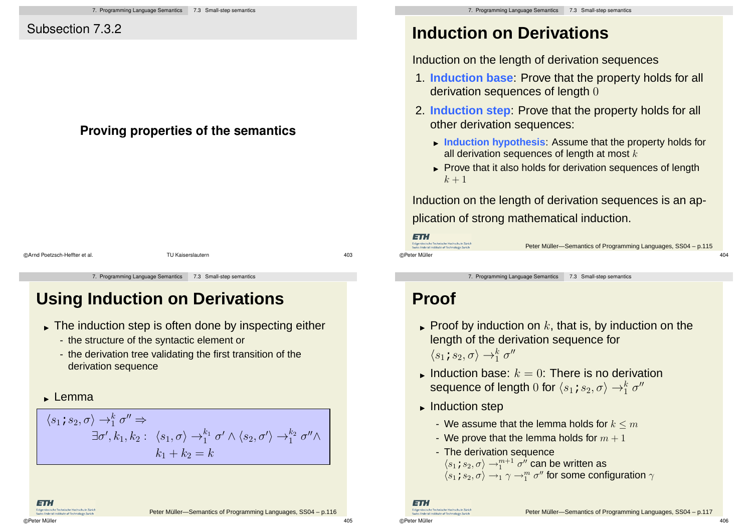## Subsection 7.3.2

## **Proving properties of the semantics**

©Arnd Poetzsch-Heffter et al. TU Kaiserslautern 403

7. Programming Language Semantics 7.3 Small-step semantics

# **Using Induction on Derivations**

- The induction step is often done by inspecting either
	- the structure of the syntactic element or
	- the derivation tree validating the first transition of the derivation sequence
- **Lemma**

 $\langle s_1\, s_2, \sigma \rangle \rightarrow_1^k \sigma'' \Rightarrow$  $\exists \sigma', k_1, k_2: \ \langle s_1, \sigma \rangle \rightarrow_1^{k_1} \sigma' \land \langle s_2, \sigma' \rangle \rightarrow_1^{k_2} \sigma'' \land$  $k_1 + k_2 = k$ 

# **Induction on Derivations**

Induction on the length of derivation sequences

- 1. **Induction base**: Prove that the property holds for all derivation sequences of length 0
- 2. **Induction step**: Prove that the property holds for all other derivation sequences:
	- **Induction hypothesis**: Assume that the property holds for all derivation sequences of length at most  $k$
	- ► Prove that it also holds for derivation sequences of length  $k+1$

Induction on the length of derivation sequences is an application of strong mathematical induction.

©Peter Müller 404

ET. Fideenässische Technische Hochschule Zürich

Peter Müller-Semantics of Programming Languages, SS04 – p.115

7. Programming Language Semantics 7.3 Small-step semantics

## **Proof**

- $\blacktriangleright$  Proof by induction on  $k,$  that is, by induction on the length of the derivation sequence for  $\langle s_1\, s_2, \sigma\rangle \rightarrow_1^k \sigma''$
- Induction base:  $k = 0$ : There is no derivation sequence of length  $0$  for  $\langle s_1\! s_2, \sigma\rangle \rightarrow_1^k \sigma''$
- **Induction step** 
	- We assume that the lemma holds for  $k \le m$
	- We prove that the lemma holds for  $m + 1$
	- The derivation sequence
		- $\langle s_1\!\!:\,s_2,\sigma\rangle\rightarrow_1^{m+1}\sigma''$  can be written as
	- $\langle s_1\!, s_2, \sigma\rangle \rightarrow_1 \gamma \rightarrow^m_1 \sigma''$  for some configuration  $\gamma$

#### ET. .<br>Össische Technische Hochschule Züric

©Peter Müller 406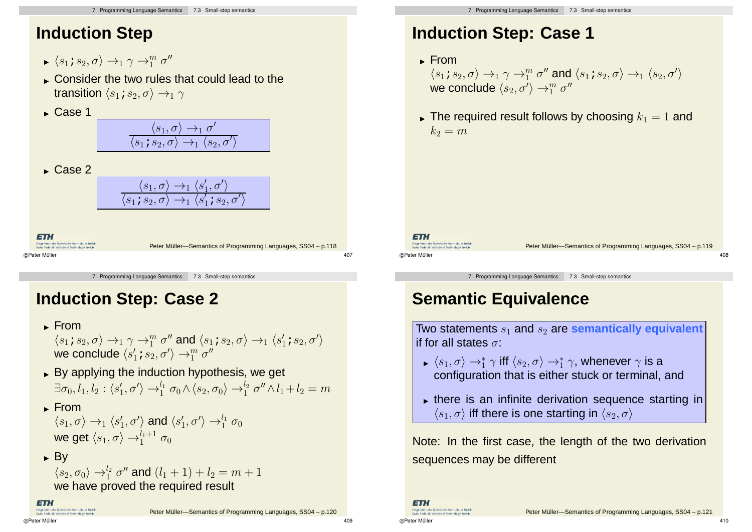## **Induction Step**

- $\blacktriangleright \langle s_1\, s_2, \sigma\rangle \rightarrow_1 \gamma \rightarrow_1^m \sigma''$
- Consider the two rules that could lead to the transition  $\langle s_1; s_2, \sigma \rangle \rightarrow_1 \gamma$
- $\blacktriangleright$  Case 1

| $\langle s_1, \sigma \rangle \rightarrow_1 \sigma'$                             |  |
|---------------------------------------------------------------------------------|--|
| $\langle s_1 \, s_2, \sigma \rangle \rightarrow_1 \langle s_2, \sigma' \rangle$ |  |

 $\blacktriangleright$  Case 2

#### $\langle s_1, \sigma \rangle \rightarrow_1 \langle s'_1, \sigma' \rangle$  $\langle s_1; s_2, \sigma \rangle \rightarrow_1 \langle s$  $\overline{\prime}$  $_1^\prime$  ;  $s_2, \sigma$  $\overline{\prime}$  $\overline{\phantom{a}}$

ETH Peter Müller-Semantics of Programming Languages, SS04 – p.118 ©Peter Müller 407

7. Programming Language Semantics 7.3 Small-step semantics

## **Induction Step: Case 2**

- **From** 
	- $\langle s_1\, s_2,\sigma\rangle\rightarrow_1 \gamma\rightarrow_1^m \sigma''$  and  $\langle s_1\, s_2,\sigma\rangle\rightarrow_1 \langle s_1'\, s_2,\sigma'\rangle$ we conclude  $\langle s_1^\prime\,;s_2,\sigma^\prime\rangle\rightarrow_1^m\sigma^{\prime\prime}$
- By applying the induction hypothesis, we get  $\exists \sigma_0, l_1, l_2 : \langle s_1', \sigma' \rangle \rightarrow_1^{l_1} \sigma_0 \wedge \langle s_2, \sigma_0 \rangle \rightarrow_1^{l_2} \sigma'' \wedge l_1 + l_2 = m$

Peter Müller-Semantics of Programming Languages, SS04 – p.120

- **From**  $\langle s_1, \sigma \rangle \rightarrow_1 \langle s_1', \sigma' \rangle$  and  $\langle s_1', \sigma' \rangle \rightarrow_1^{l_1} \sigma_0$ we get  $\langle s_1, \sigma \rangle \rightarrow_1^{l_1+1} \sigma_0$
- $\blacktriangleright$  By

$$
\langle s_2, \sigma_0 \rangle \rightarrow_1^{l_2} \sigma''
$$
 and 
$$
(l_1 + 1) + l_2 = m + 1
$$
  
we have proved the required result

ET.

# **Induction Step: Case 1**

- ► From **From**  $\langle s_1 \, s_2, \sigma \rangle \rightarrow_1 \gamma \rightarrow_1^m \sigma''$  and  $\langle s_1 \, s_2, \sigma \rangle \rightarrow_1 \langle s_2, \sigma' \rangle$ we conclude  $\langle s_2, \sigma'\rangle \rightarrow_1^m \sigma''$
- $\blacktriangleright$  The required result follows by choosing  $k_1 = 1$  and  $k_2 = m$

ET. s<br>idaenössische Technische Hochschule Zürich

Peter Müller-Semantics of Programming Languages, SS04 – p.119 ©Peter Müller 408

7. Programming Language Semantics 7.3 Small-step semantics

# **Semantic Equivalence**

Two statements  $s_1$  and  $s_2$  are **semantically** equivalent If for all states  $\sigma$ :

- $\blacktriangleright \langle s_1, \sigma \rangle \rightarrow_1^* \gamma$  iff  $\langle s_2, \sigma \rangle \rightarrow_1^* \gamma$ , whenever  $\gamma$  is a configuration that is either stuck or terminal, and
- there is an infinite derivation sequence starting in  $\langle s_1, \sigma \rangle$  iff there is one starting in  $\langle s_2, \sigma \rangle$

Note: In the first case, the length of the two derivation sequences may be different

©Peter Müller 410

ETH.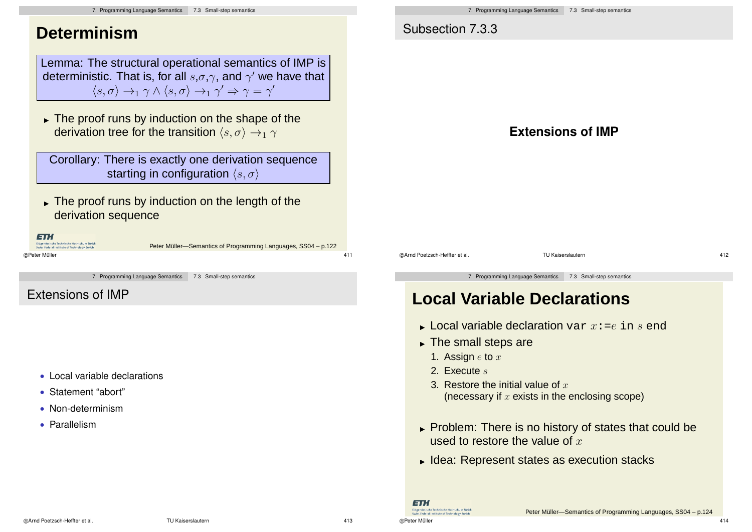| 7. Programming Language Semantics 7.3 Small-step semantics                                                                                                                                                                                                                                                                                                                                                                                                                                                                                                                                                                                               | 7. Programming Language Semantics 7.3 Small-step semantics                                                                                                                                                                                                                                                                                                                                                                                                                                                                                            |
|----------------------------------------------------------------------------------------------------------------------------------------------------------------------------------------------------------------------------------------------------------------------------------------------------------------------------------------------------------------------------------------------------------------------------------------------------------------------------------------------------------------------------------------------------------------------------------------------------------------------------------------------------------|-------------------------------------------------------------------------------------------------------------------------------------------------------------------------------------------------------------------------------------------------------------------------------------------------------------------------------------------------------------------------------------------------------------------------------------------------------------------------------------------------------------------------------------------------------|
| <b>Determinism</b>                                                                                                                                                                                                                                                                                                                                                                                                                                                                                                                                                                                                                                       | Subsection 7.3.3                                                                                                                                                                                                                                                                                                                                                                                                                                                                                                                                      |
| Lemma: The structural operational semantics of IMP is<br>deterministic. That is, for all $s, \sigma, \gamma$ , and $\gamma'$ we have that<br>$\langle s, \sigma \rangle \rightarrow_1 \gamma \wedge \langle s, \sigma \rangle \rightarrow_1 \gamma' \Rightarrow \gamma = \gamma'$<br>$\triangleright$ The proof runs by induction on the shape of the<br>derivation tree for the transition $\langle s, \sigma \rangle \rightarrow_1 \gamma$<br>Corollary: There is exactly one derivation sequence<br>starting in configuration $\langle s, \sigma \rangle$<br>$\triangleright$ The proof runs by induction on the length of the<br>derivation sequence | <b>Extensions of IMP</b>                                                                                                                                                                                                                                                                                                                                                                                                                                                                                                                              |
| 17 Li<br>nössische Technische Hochschule Zürich<br>Peter Müller-Semantics of Programming Languages, SS04 - p.122<br>411<br>7. Programming Language Semantics<br>7.3 Small-step semantics<br><b>Extensions of IMP</b>                                                                                                                                                                                                                                                                                                                                                                                                                                     | 412<br>@Arnd Poetzsch-Heffter et al.<br><b>TU Kaiserslautern</b><br>7. Programming Language Semantics<br>7.3 Small-step semantics<br><b>Local Variable Declarations</b>                                                                                                                                                                                                                                                                                                                                                                               |
| • Local variable declarations<br>• Statement "abort"<br>• Non-determinism<br>• Parallelism                                                                                                                                                                                                                                                                                                                                                                                                                                                                                                                                                               | ► Local variable declaration var $x := e$ in s end<br>$\triangleright$ The small steps are<br>1. Assign $e$ to $x$<br>2. Execute $s$<br>3. Restore the initial value of $x$<br>(necessary if $x$ exists in the enclosing scope)<br>► Problem: There is no history of states that could be<br>used to restore the value of $x$<br>► Idea: Represent states as execution stacks<br>lanil<br>Eidgenössische Technische Hochschule Zürich<br>Peter Müller-Semantics of Programming Languages, SS04 - p.124<br>viss Federal Institute of Technology Zurich |

©Peter Müller 414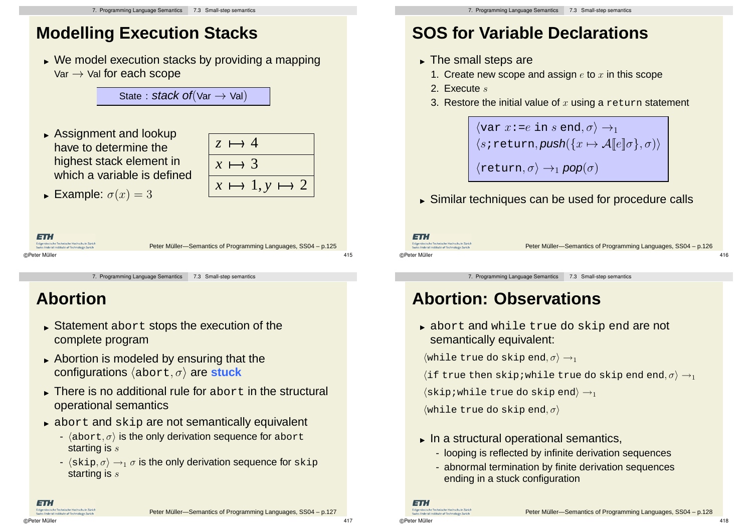# **Modelling Execution Stacks**

 We model execution stacks by providing a mapping  $Var \rightarrow$  Val for each scope

State : stack of  $Var \rightarrow Val$ 

 Assignment and lookup have to determine the highest stack element in which a variable is defined



**Example:**  $\sigma(x) = 3$ 

ETH .<br>Sssische Technische Hochschule Zürich Peter Müller-Semantics of Programming Languages, SS04 – p.125 **Coderal Institute of Technolo** ©Peter Müller 415

7. Programming Language Semantics 7.3 Small-step semantics

## **Abortion**

- Statement abort stops the execution of the complete program
- **Abortion is modeled by ensuring that the** configurations  $\langle$ abort,  $\sigma$  $\rangle$  are stuck
- There is no additional rule for abort in the structural operational semantics
- abort and skip are not semantically equivalent
	- $\langle$ abort,  $\sigma$ ) is the only derivation sequence for abort starting is s
	- $\cdot$   $\langle$ skip,  $\sigma \rangle \rightarrow_1 \sigma$  is the only derivation sequence for skip starting is s

# **SOS for Variable Declarations**

- The small steps are
	- 1. Create new scope and assign  $e$  to  $x$  in this scope
	- 2. Execute s
	- 3. Restore the initial value of  $x$  using a return statement

 $\langle \text{var } x : =e \text{ in } s \text{ end}, \sigma \rangle \rightarrow_1$  $\langle s \text{ :} \text{return}, \text{push}(\{x \mapsto A[\![e]\!]\sigma\}, \sigma) \rangle$  $\langle \text{return}, \sigma \rangle \rightarrow_1 \text{pop}(\sigma)$ 

Similar techniques can be used for procedure calls

ET.

Fidaenössische Technische Hochschule Zürich ss Federal Institute of Technolo ©Peter Müller 416

Peter Müller-Semantics of Programming Languages, SS04 – p.126

7. Programming Language Semantics 7.3 Small-step semantics

## **Abortion: Observations**

 abort and while true do skip end are not semantically equivalent:

 $\langle$ while true do skip end,  $\sigma$  $\rangle \rightarrow_1$ 

(if true then skip; while true do skip end end,  $\sigma$ )  $\rightarrow$ 1

 $\langle$ skip;while true do skip end $\rangle \rightarrow_1$ 

 $\langle$ while true do skip end,  $\sigma$  $\rangle$ 

- $\blacktriangleright$  In a structural operational semantics,
	- looping is reflected by infinite derivation sequences
	- abnormal termination by finite derivation sequences ending in a stuck configuration

**ETH** 

©Peter Müller 417

ET.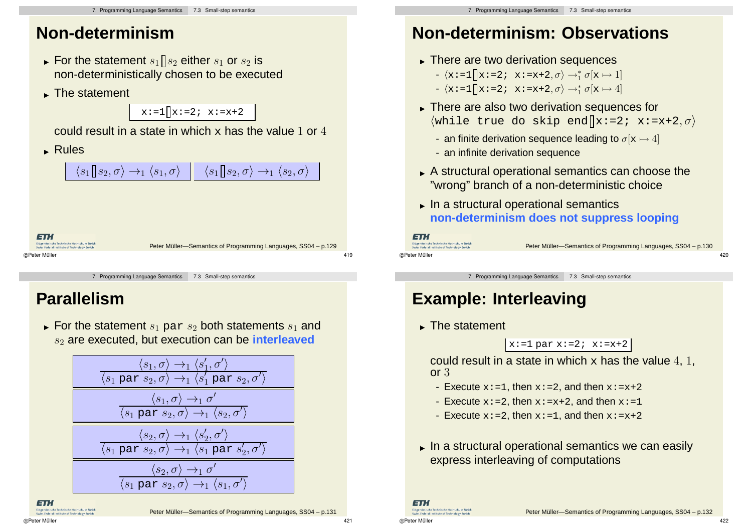## **Non-determinism**

- $\blacktriangleright$  For the statement  $s_1 \mathbin\Vert s_2$  either  $s_1$  or  $s_2$  is non-deterministically chosen to be executed
- ► The statement

 $x:=1 \mid x:=2; x:=x+2$ 

could result in a state in which  $x$  has the value 1 or 4

Rules

 $\langle s_{1}\!\!\mid\!\! s_{2},\sigma\rangle\rightarrow_{1}\langle s_{1},\sigma\rangle\mid\mid\mid\langle s_{1}\!\!\mid\!\! s_{2},\sigma\rangle\rightarrow_{1}\langle s_{2},\sigma\rangle$ 

ETH issische Technische Hochschule Züric Peter Müller-Semantics of Programming Languages, SS04 – p.129 ©Peter Müller 419

7. Programming Language Semantics 7.3 Small-step semantics

## **Parallelism**

 $\blacktriangleright$  For the statement  $s_1$   $\mathtt{par}\ s_2$  both statements  $s_1$  and s<sub>2</sub> are executed, but execution can be **interleaved** 

$$
\frac{\langle s_1, \sigma \rangle \rightarrow_1 \langle s_1', \sigma' \rangle}{\langle s_1 \text{ par } s_2, \sigma \rangle \rightarrow_1 \langle s_1' \text{ par } s_2, \sigma' \rangle}
$$
\n
$$
\frac{\langle s_1, \sigma \rangle \rightarrow_1 \sigma'}{\langle s_1 \text{ par } s_2, \sigma \rangle \rightarrow_1 \langle s_2, \sigma' \rangle}
$$
\n
$$
\frac{\langle s_2, \sigma \rangle \rightarrow_1 \langle s_2', \sigma' \rangle}{\langle s_1 \text{ par } s_2, \sigma \rangle \rightarrow_1 \langle s_1 \text{ par } s_2', \sigma' \rangle}
$$
\n
$$
\frac{\langle s_2, \sigma \rangle \rightarrow_1 \sigma'}{\langle s_1 \text{ par } s_2, \sigma \rangle \rightarrow_1 \langle s_1, \sigma' \rangle}
$$

**ETH** sische Technische Hochschule Züric Federal Institute of Technology Zuri

# **Non-determinism: Observations**

- There are two derivation sequences
	- $\langle x:=1 | x:=2; x:=x+2, \sigma \rangle \rightarrow_1^* \sigma[x \mapsto 1]$
	- $\langle \mathbf{x} \cdot \mathbf{=1} \vert \vert \mathbf{x} \cdot \mathbf{=2}; \mathbf{x} \cdot \mathbf{=x+2}, \sigma \rangle \rightarrow_1^* \sigma \mathbf{x} \mapsto 4$
- There are also two derivation sequences for  $\langle$ while true do skip end  $\langle x:z:zx+2,\sigma\rangle$ 
	- an finite derivation sequence leading to  $\sigma[x \mapsto 4]$
	- an infinite derivation sequence
- A structural operational semantics can choose the "wrong" branch of a non-deterministic choice
- In a structural operational semantics **non-determinism does not suppress looping**

```
ETH.
Fideenässische Technische Hochschule Zürich
```
s Federal Institute of Technolo

Peter Müller-Semantics of Programming Languages, SS04 – p.130

7. Programming Language Semantics 7.3 Small-step semantics

©Peter Müller 420

# **Example: Interleaving**

The statement

 $x:=1$  par  $x:=2$ ;  $x:=x+2$ 

could result in a state in which  $x$  has the value 4, 1, or 3

- Execute  $x: =1$ , then  $x: =2$ , and then  $x: =x+2$
- Execute  $x: = 2$ , then  $x: =x+2$ , and then  $x: =1$
- Execute  $x: = 2$ , then  $x: = 1$ , and then  $x: = x+2$
- In a structural operational semantics we can easily express interleaving of computations

ET. Eidgenössische Technische Hochschule Züric Swiss Federal Institute of Technology Zuria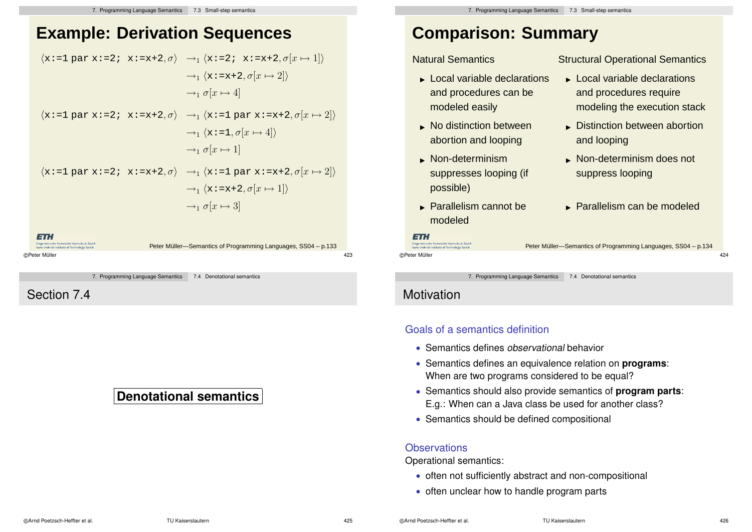## **Example: Derivation Sequences**

$$
\langle x:=1 \text{ par } x:=2; \ x:=x+2, \sigma \rangle \rightarrow_1 \langle x:=2; \ x:=x+2, \sigma[x \mapsto 1] \rangle
$$
  
\n
$$
\rightarrow_1 \langle x:=x+2, \sigma[x \mapsto 2] \rangle
$$
  
\n
$$
\rightarrow_1 \sigma[x \mapsto 4]
$$
  
\n
$$
\langle x:=1 \text{ par } x:=2; \ x:=x+2, \sigma \rangle \rightarrow_1 \langle x:=1 \text{ par } x:=x+2, \sigma[x \mapsto 2] \rangle
$$
  
\n
$$
\rightarrow_1 \langle x:=1, \sigma[x \mapsto 4] \rangle
$$
  
\n
$$
\rightarrow_1 \sigma[x \mapsto 1]
$$
  
\n
$$
\langle x:=1 \text{ par } x:=2; \ x:=x+2, \sigma \rangle \rightarrow_1 \langle x:=1 \text{ par } x:=x+2, \sigma[x \mapsto 2] \rangle
$$
  
\n
$$
\rightarrow_1 \langle x:=x+2, \sigma[x \mapsto 1] \rangle
$$
  
\n
$$
\rightarrow_1 \sigma[x \mapsto 3]
$$

Eidgenössische Technische Hochschule Zürich<br>Swiss Federal Institute of Technology Zurich Peter Müller-Semantics of Programming Languages, SS04 – p.133 ©Peter Müller 423

7. Programming Language Semantics 7.4 Denotational semantics

Section 7.4

## **Denotational semantics**

## **Comparison: Summary**

Natural Semantics

### **Local variable declarations** and procedures can be modeled easily

- No distinction between abortion and looping
- Non-determinism suppresses looping (if possible)
- Parallelism cannot be modeled

Structural Operational Semantics

- **Local variable declarations** and procedures require modeling the execution stack
- Distinction between abortion and looping
- Non-determinism does not suppress looping
- Parallelism can be modeled

Peter Müller-Semantics of Programming Languages, SS04 – p.134

7. Programming Language Semantics 7.4 Denotational semantics

©Peter Müller 424

**Motivation** 

Eidgenössische Technische Hochschule Zürich

Swiss Federal Institute of Technolog

ETH.

#### Goals of a semantics definition

- Semantics defines observational behavior
- Semantics defines an equivalence relation on **programs**: When are two programs considered to be equal?
- Semantics should also provide semantics of **program parts**: E.g.: When can a Java class be used for another class?
- Semantics should be defined compositional

#### **Observations**

Operational semantics:

- often not sufficiently abstract and non-compositional
- often unclear how to handle program parts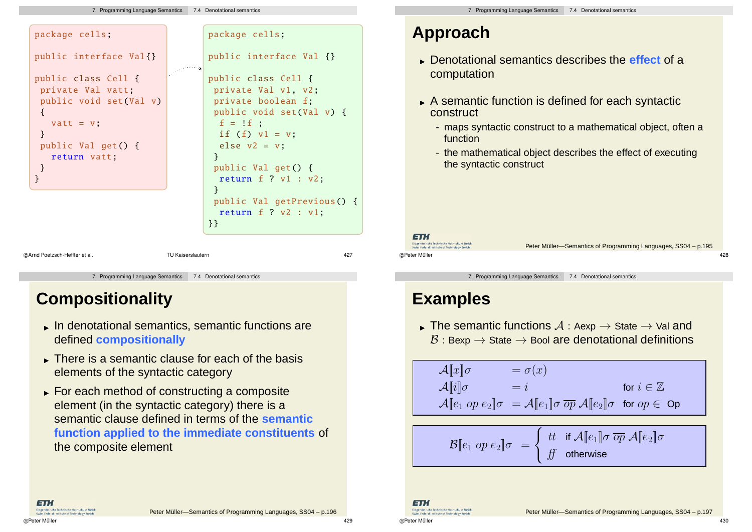#### 7. Programming Language Semantics 7.4 Denotational semantics



7. Programming Language Semantics 7.4 Denotational semantics

## **Compositionality**

- In denotational semantics, semantic functions are defined **compositionally**
- There is a semantic clause for each of the basis elements of the syntactic category
- For each method of constructing a composite element (in the syntactic category) there is a semantic clause defined in terms of the **semantic function applied to the immediate constituents** of the composite element

Peter Müller-Semantics of Programming Languages, SS04 – p.196

## **Approach**

- Denotational semantics describes the **effect** of a computation
- A semantic function is defined for each syntactic construct
	- maps syntactic construct to a mathematical object, often a function
	- the mathematical object describes the effect of executing the syntactic construct

ET. Fidaenössische Technische Hochschule Zürich

iss Federal Institute of Technolo ©Peter Müller 428

Peter Müller-Semantics of Programming Languages, SS04 – p.195

7. Programming Language Semantics 7.4 Denotational semantics

## **Examples**

The semantic functions  $A : A \rightarrow B$  State  $\rightarrow$  Val and  $\mathcal{B}:$  Bexp  $\rightarrow$  State  $\rightarrow$  Bool are denotational definitions

$$
\mathcal{A}[\![x]\!] \sigma = \sigma(x)
$$
  
\n
$$
\mathcal{A}[\![i]\!] \sigma = i \quad \text{for } i \in \mathbb{Z}
$$
  
\n
$$
\mathcal{A}[\![e_1 \text{ op } e_2]\!] \sigma = \mathcal{A}[\![e_1]\!] \sigma \overline{\text{ op }} \mathcal{A}[\![e_2]\!] \sigma \quad \text{for } op \in \text{ Op}
$$

$$
\mathcal{B}[\![ e_1 \text{ op } e_2 ]\!] \sigma \ = \left\{ \begin{array}{ll} \text{tt} & \text{if } \mathcal{A}[\![ e_1 ]\!] \sigma \ \overline{op} \ \mathcal{A}[\![ e_2 ]\!] \sigma \\ \text{ft} & \text{otherwise} \end{array} \right.
$$

ET. Eidgenössische Technische Hochschule Zürich<br>Swiss Federal Institute of Technology Zurich

Federal Institute of Technology 7

**ETH**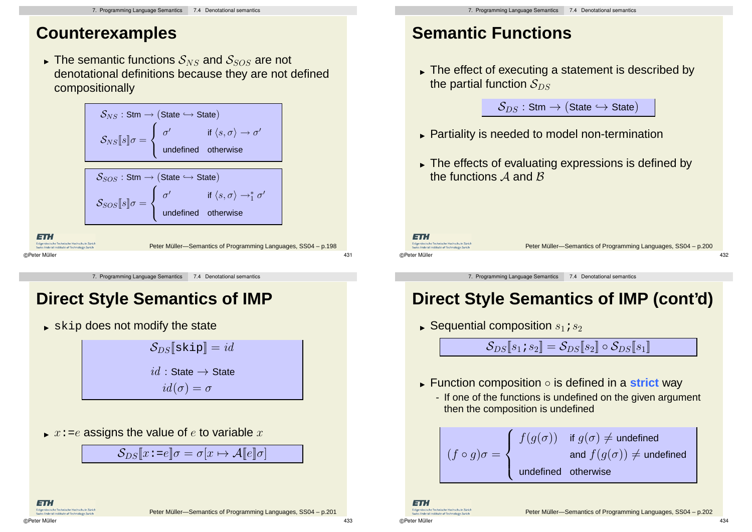## **Counterexamples**

The semantic functions  $S_{NS}$  and  $S_{SOS}$  are not denotational definitions because they are not defined compositionally

$$
S_{NS}: \text{Stm} \rightarrow (\text{State} \hookrightarrow \text{State})
$$
\n
$$
S_{NS}[\hspace{1pt}[\mathbf{s}]\hspace{1pt}]\sigma = \begin{cases}\n\sigma' & \text{if } \langle s, \sigma \rangle \rightarrow \sigma' \\
\text{undefined} & \text{otherwise}\n\end{cases}
$$
\n
$$
S_{SOS}: \text{Stm} \rightarrow (\text{State} \hookrightarrow \text{State})
$$
\n
$$
S_{SOS}[\hspace{1pt}[\mathbf{s}]\hspace{1pt}]\sigma = \begin{cases}\n\sigma' & \text{if } \langle s, \sigma \rangle \rightarrow_{\text{1}}^* \sigma' \\
\text{undefined} & \text{otherwise}\n\end{cases}
$$
\n
$$
\text{Theta} \text{Therefore, Leibelide Ricobelle ZJGCh}
$$
\n
$$
\text{Peter Müller} \rightarrow \text{Semantics of Programming Languages, SSO4 - p.198}
$$
\n
$$
\text{QPeter Müller}
$$
\n
$$
\text{QPeter Müller} \rightarrow \text{GPDgramming Languages, SSO4 - p.198}
$$

7. Programming Language Semantics 7.4 Denotational semantics

## **Direct Style Semantics of IMP**

 $\blacktriangleright$  skip does not modify the state

 $\mathcal{S}_{DS}$ [skip] = id  $id :$  State  $\rightarrow$  State  $id(\sigma) = \sigma$ 

 $\blacktriangleright$   $x$ :=e assigns the value of  $e$  to variable  $x$ 

$$
\mathcal{S}_{DS}[\![x\!:=\!e]\!] \sigma = \sigma[x \mapsto \mathcal{A}[\![e]\!] \sigma]
$$

# **Semantic Functions**

 The effect of executing a statement is described by the partial function  $S_{DS}$ 

 $S_{DS}$ : Stm  $\rightarrow$  (State  $\hookrightarrow$  State)

- Partiality is needed to model non-termination
- The effects of evaluating expressions is defined by the functions  $A$  and  $B$

ET. Fidaenössische Technische Hochschule Zürich

**CEnderal Institute of Techno** 

Peter Müller-Semantics of Programming Languages, SS04 – p.200

©Peter Müller 432

7. Programming Language Semantics 7.4 Denotational semantics

## **Direct Style Semantics of IMP (cont'd)**

 $\blacktriangleright$  Sequential composition  $s_1$  ;  $s_2$ 

 $\mathcal{S}_{DS}[s_1;s_2] = \mathcal{S}_{DS}[s_2] \circ \mathcal{S}_{DS}[s_1]$ 

- Function composition is defined in a **strict** way
	- If one of the functions is undefined on the given argument then the composition is undefined

$$
(f \circ g)\sigma = \left\{ \begin{array}{cl} f(g(\sigma)) & \text{if } g(\sigma) \neq \text{undefined} \\ & \text{and } f(g(\sigma)) \neq \text{undefined} \\ & \text{undefined} & \text{otherwise} \end{array} \right.
$$

©Peter Müller 434

ET. sische Technische Hochschule Züric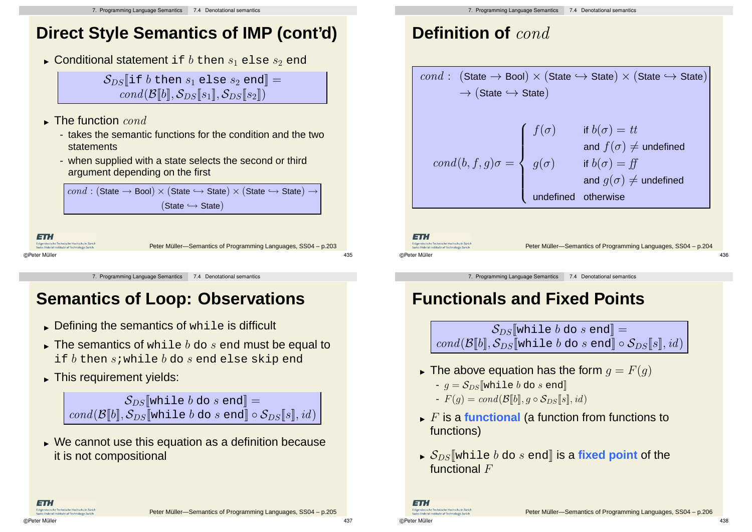## **Direct Style Semantics of IMP (cont'd)**

 $\blacktriangleright$  Conditional statement <code>if</code>  $b$  then  $s_1$  <code>else</code>  $s_2$  <code>end</code>

 $S_{DS}$ [if b then  $s_1$  else  $s_2$  end] =  $cond(\mathcal{B}[[b], \mathcal{S}_{DS}[[s_1], \mathcal{S}_{DS}[[s_2]])$ 

- $\blacktriangleright$  The function  $\it cond$ 
	- takes the semantic functions for the condition and the two statements
	- when supplied with a state selects the second or third argument depending on the first

 $cond : (State \rightarrow Bool) \times (State \hookrightarrow State) \times (State \hookrightarrow State) \rightarrow$  $(State \hookrightarrow State)$ 

ETH issische Technische Hochschule Züric Peter Müller-Semantics of Programming Languages, SS04 – p.203 ©Peter Müller 435

7. Programming Language Semantics 7.4 Denotational semantics

## **Semantics of Loop: Observations**

- $\blacktriangleright$  Defining the semantics of while is difficult
- $\blacktriangleright$  The semantics of while  $b$  do  $s$  end must be equal to if  $b$  then s; while  $b$  do s end else skip end
- This requirement yields:

 $S_{DS}$ [while b do s end] = cond( $\mathcal{B}[b], \mathcal{S}_{DS}$ [while b do s end] ∘ $\mathcal{S}_{DS}[s], id$ )

 We cannot use this equation as a definition because it is not compositional

# **Definition of** cond

| <i>cond</i> : (State → Bool) $\times$ (State $\hookrightarrow$ State) $\times$ (State $\hookrightarrow$ State)              |                                                       |  |  |  |
|-----------------------------------------------------------------------------------------------------------------------------|-------------------------------------------------------|--|--|--|
| $\rightarrow$ (State $\rightarrow$ State)                                                                                   |                                                       |  |  |  |
|                                                                                                                             | if $b(\sigma) = tt$                                   |  |  |  |
|                                                                                                                             | and $f(\sigma) \neq$ undefined<br>if $b(\sigma) = ff$ |  |  |  |
| $\mathit{cond}(b,f,g)\sigma = \left\{ \begin{array}{ll} f(\sigma) \ & g(\sigma) \ & \cdot \end{array} \right.$<br>undefined | and $g(\sigma) \neq$ undefined<br>otherwise           |  |  |  |
|                                                                                                                             |                                                       |  |  |  |

ET.

ET.

Fidaenössische Technische Hochschule Züric iwics Federal Institute of Technolog

```
Fidaenössische Technische Hochschule Zürich
  Swiss Federal Institute of Technolo
©Peter Müller 436
```
Peter Müller-Semantics of Programming Languages, SS04 – p.204

7. Programming Language Semantics 7.4 Denotational semantics

# **Functionals and Fixed Points**

 $S_{DS}$ [while b do s end] =  $cond(\mathcal{B}[[b], \mathcal{S}_{DS}[[\text{while } b \text{ do } s \text{ end}]] \circ \mathcal{S}_{DS}[[s], id])$ 

- $\blacktriangleright$  The above equation has the form  $g=F(g)$ 
	- $q = S_{DS}$ [while b do s end]
	- $-F(g) = cond(\mathcal{B}[b], g \circ \mathcal{S}_{DS}[s], id)$
- $\blacktriangleright$  F is a functional (a function from functions to functions)
- $\blacktriangleright$   $\mathcal{S}_{DS}$  while  $b$  do  $s$  end] is a fixed point of the functional F

©Peter Müller 438

Peter Müller-Semantics of Programming Languages, SS04 – p.205

©Peter Müller 437

ET.I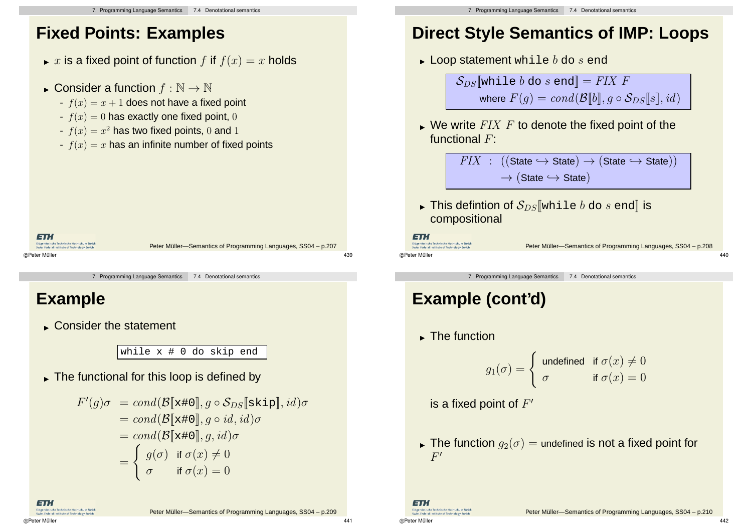## **Fixed Points: Examples**

- $\blacktriangleright$   $x$  is a fixed point of function  $f$  if  $f(x) = x$  holds
- Consider a function  $f : \mathbb{N} \to \mathbb{N}$ 
	- $f(x) = x + 1$  does not have a fixed point
	- $f(x) = 0$  has exactly one fixed point, 0
	- $f(x) = x^2$  has two fixed points, 0 and 1
	- $f(x) = x$  has an infinite number of fixed points

```
ETH
    issische Technische Hochschule Züric
                         Peter Müller-Semantics of Programming Languages, SS04 – p.207
©Peter Müller 439
```
7. Programming Language Semantics 7.4 Denotational semantics

## **Example**

Consider the statement

while x # 0 do skip end

The functional for this loop is defined by

$$
F'(g)\sigma = cond(\mathcal{B}[\mathbf{x}*\mathbf{0}], g \circ \mathcal{S}_{DS}[\mathbf{skip}], id)\sigma
$$
  
= cond(\mathcal{B}[\mathbf{x}\*\mathbf{0}], g \circ id, id)\sigma  
= cond(\mathcal{B}[\mathbf{x}\*\mathbf{0}], g, id)\sigma  
= \begin{cases} g(\sigma) & \text{if } \sigma(x) \neq 0 \\ \sigma & \text{if } \sigma(x) = 0 \end{cases}

ET.

Peter Müller-Semantics of Programming Languages, SS04 – p.209

## **Direct Style Semantics of IMP: Loops**

 $\blacktriangleright$  Loop statement while  $b$  do  $s$  end

 $S_{DS}$ [while b do s end] = FIX F where  $F(q) = cond(\mathcal{B}[[b]], q \circ \mathcal{S}_{DS}[[s]], id)$ 

 $\blacktriangleright$  We write  $\mathit{FIN}$   $F$  to denote the fixed point of the functional F:

> $FIX$  :  $((State \hookrightarrow State) \rightarrow (State \hookrightarrow State))$  $\rightarrow$  (State  $\rightarrow$  State)

 $\blacktriangleright$  This defintion of  $\mathcal{S}_{DS}[\![\text{while }b\textrm{ do }s\textrm{ end}]\!]$  is compositional

```
ETH.
Fideenässische Technische Hochschule Zürich
```
©Peter Müller 440

Peter Müller-Semantics of Programming Languages, SS04 – p.208

7. Programming Language Semantics 7.4 Denotational semantics

# **Example (cont'd)**

The function

$$
g_1(\sigma) = \begin{cases} \text{ undefined} & \text{if } \sigma(x) \neq 0 \\ \sigma & \text{if } \sigma(x) = 0 \end{cases}
$$

is a fixed point of  $F'$ 

 $\blacktriangleright$  The function  $g_2(\sigma)=$  undefined is not a fixed point for  $F^{\prime}$ 

ET. Fidaenössische Technische Hochschule Züric iwics Federal Institute of Technolog